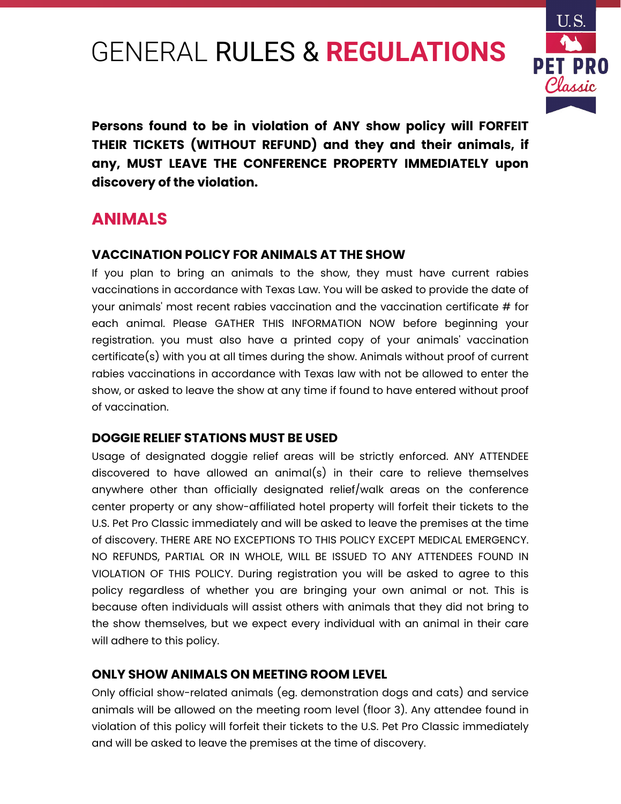# GENERAL RULES & **REGULATIONS**



**Persons found to be in violation of ANY show policy will FORFEIT THEIR TICKETS (WITHOUT REFUND) and they and their animals, if any, MUST LEAVE THE CONFERENCE PROPERTY IMMEDIATELY upon discovery of the violation.**

## **ANIMALS**

#### **VACCINATION POLICY FOR ANIMALS AT THE SHOW**

If you plan to bring an animals to the show, they must have current rabies vaccinations in accordance with Texas Law. You will be asked to provide the date of your animals' most recent rabies vaccination and the vaccination certificate # for each animal. Please GATHER THIS INFORMATION NOW before beginning your registration. you must also have a printed copy of your animals' vaccination certificate(s) with you at all times during the show. Animals without proof of current rabies vaccinations in accordance with Texas law with not be allowed to enter the show, or asked to leave the show at any time if found to have entered without proof of vaccination.

#### **DOGGIE RELIEF STATIONS MUST BE USED**

Usage of designated doggie relief areas will be strictly enforced. ANY ATTENDEE discovered to have allowed an animal(s) in their care to relieve themselves anywhere other than officially designated relief/walk areas on the conference center property or any show-affiliated hotel property will forfeit their tickets to the U.S. Pet Pro Classic immediately and will be asked to leave the premises at the time of discovery. THERE ARE NO EXCEPTIONS TO THIS POLICY EXCEPT MEDICAL EMERGENCY. NO REFUNDS, PARTIAL OR IN WHOLE, WILL BE ISSUED TO ANY ATTENDEES FOUND IN VIOLATION OF THIS POLICY. During registration you will be asked to agree to this policy regardless of whether you are bringing your own animal or not. This is because often individuals will assist others with animals that they did not bring to the show themselves, but we expect every individual with an animal in their care will adhere to this policy.

### **ONLY SHOW ANIMALS ON MEETING ROOM LEVEL**

Only official show-related animals (eg. demonstration dogs and cats) and service animals will be allowed on the meeting room level (floor 3). Any attendee found in violation of this policy will forfeit their tickets to the U.S. Pet Pro Classic immediately and will be asked to leave the premises at the time of discovery.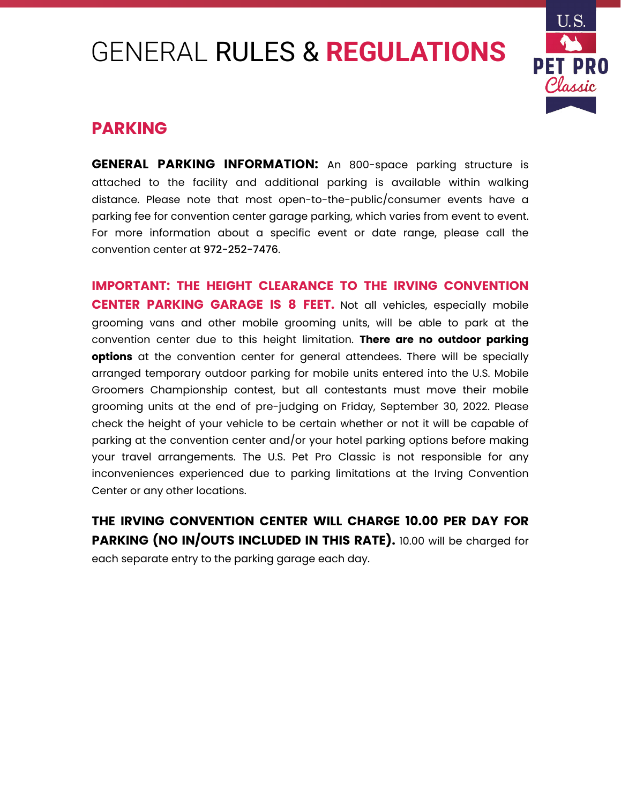# GENERAL RULES & **REGULATIONS**



## **PARKING**

**GENERAL PARKING INFORMATION:** An 800-space parking structure is attached to the facility and additional parking is available within walking distance. Please note that most open-to-the-public/consumer events have a parking fee for convention center garage parking, which varies from event to event. For more information about a specific event or date range, please call the convention center at [972-252-7476](tel:9722527476).

**IMPORTANT: THE HEIGHT CLEARANCE TO THE IRVING CONVENTION CENTER PARKING GARAGE IS 8 FEET.** Not all vehicles, especially mobile grooming vans and other mobile grooming units, will be able to park at the convention center due to this height limitation. **There are no outdoor parking options** at the convention center for general attendees. There will be specially arranged temporary outdoor parking for mobile units entered into the U.S. Mobile Groomers Championship contest, but all contestants must move their mobile grooming units at the end of pre-judging on Friday, September 30, 2022. Please check the height of your vehicle to be certain whether or not it will be capable of parking at the convention center and/or your hotel parking options before making your travel arrangements. The U.S. Pet Pro Classic is not responsible for any inconveniences experienced due to parking limitations at the Irving Convention Center or any other locations.

**THE IRVING CONVENTION CENTER WILL CHARGE 10.00 PER DAY FOR PARKING (NO IN/OUTS INCLUDED IN THIS RATE).** 10.00 will be charged for each separate entry to the parking garage each day.